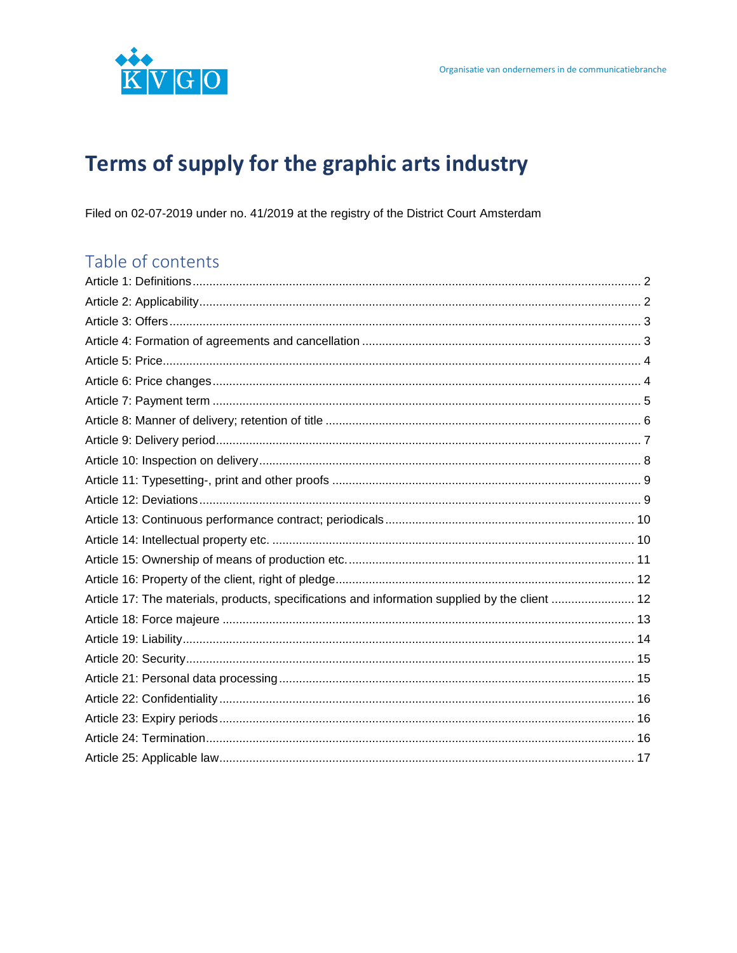

# Terms of supply for the graphic arts industry

Filed on 02-07-2019 under no. 41/2019 at the registry of the District Court Amsterdam

# Table of contents

| Article 17: The materials, products, specifications and information supplied by the client  12 |  |
|------------------------------------------------------------------------------------------------|--|
|                                                                                                |  |
|                                                                                                |  |
|                                                                                                |  |
|                                                                                                |  |
|                                                                                                |  |
|                                                                                                |  |
|                                                                                                |  |
|                                                                                                |  |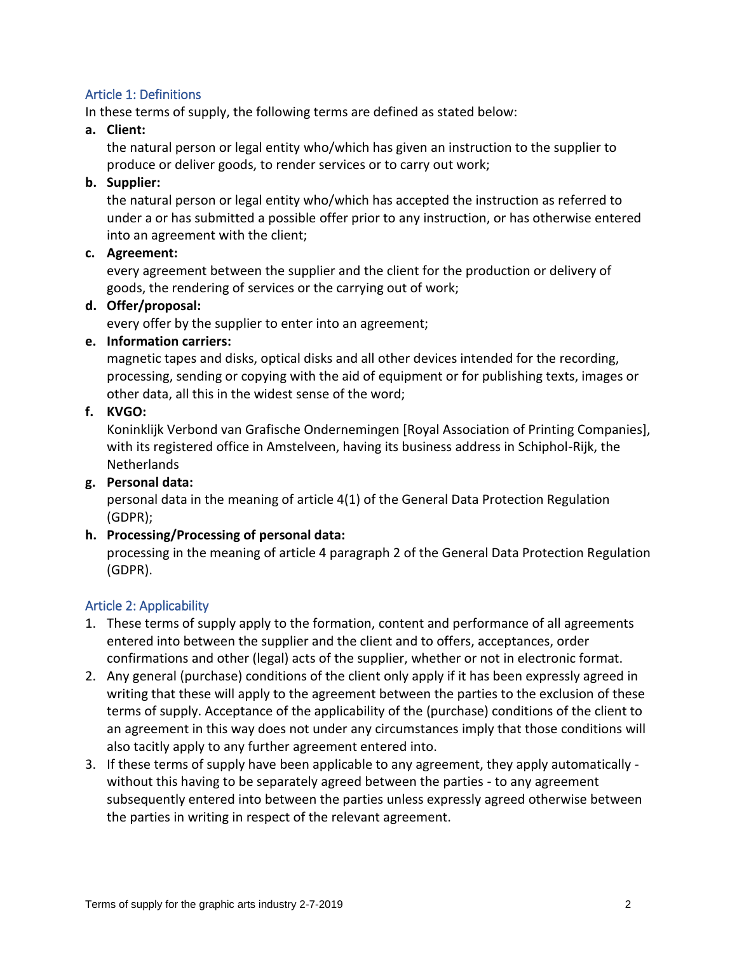#### <span id="page-1-0"></span>Article 1: Definitions

In these terms of supply, the following terms are defined as stated below:

**a. Client:** 

the natural person or legal entity who/which has given an instruction to the supplier to produce or deliver goods, to render services or to carry out work;

#### **b. Supplier:**

the natural person or legal entity who/which has accepted the instruction as referred to under a or has submitted a possible offer prior to any instruction, or has otherwise entered into an agreement with the client;

#### **c. Agreement:**

every agreement between the supplier and the client for the production or delivery of goods, the rendering of services or the carrying out of work;

#### **d. Offer/proposal:**

every offer by the supplier to enter into an agreement;

#### **e. Information carriers:**

magnetic tapes and disks, optical disks and all other devices intended for the recording, processing, sending or copying with the aid of equipment or for publishing texts, images or other data, all this in the widest sense of the word;

#### **f. KVGO:**

Koninklijk Verbond van Grafische Ondernemingen [Royal Association of Printing Companies], with its registered office in Amstelveen, having its business address in Schiphol-Rijk, the **Netherlands** 

#### **g. Personal data:**

personal data in the meaning of article 4(1) of the General Data Protection Regulation (GDPR);

#### **h. Processing/Processing of personal data:**

processing in the meaning of article 4 paragraph 2 of the General Data Protection Regulation (GDPR).

#### <span id="page-1-1"></span>Article 2: Applicability

- 1. These terms of supply apply to the formation, content and performance of all agreements entered into between the supplier and the client and to offers, acceptances, order confirmations and other (legal) acts of the supplier, whether or not in electronic format.
- 2. Any general (purchase) conditions of the client only apply if it has been expressly agreed in writing that these will apply to the agreement between the parties to the exclusion of these terms of supply. Acceptance of the applicability of the (purchase) conditions of the client to an agreement in this way does not under any circumstances imply that those conditions will also tacitly apply to any further agreement entered into.
- 3. If these terms of supply have been applicable to any agreement, they apply automatically without this having to be separately agreed between the parties - to any agreement subsequently entered into between the parties unless expressly agreed otherwise between the parties in writing in respect of the relevant agreement.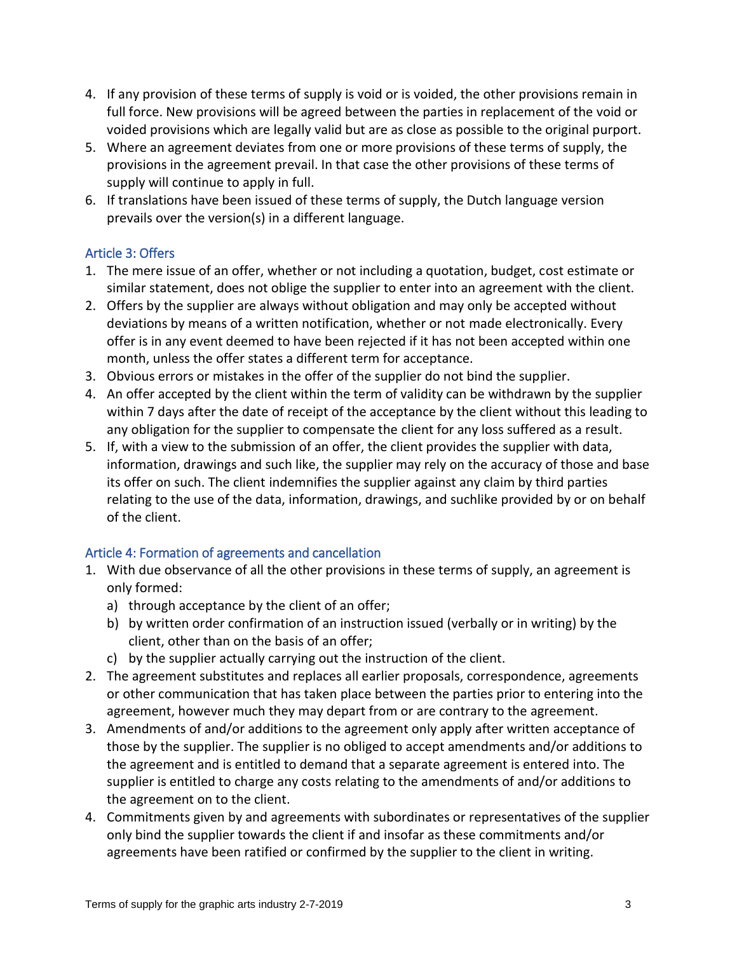- 4. If any provision of these terms of supply is void or is voided, the other provisions remain in full force. New provisions will be agreed between the parties in replacement of the void or voided provisions which are legally valid but are as close as possible to the original purport.
- 5. Where an agreement deviates from one or more provisions of these terms of supply, the provisions in the agreement prevail. In that case the other provisions of these terms of supply will continue to apply in full.
- 6. If translations have been issued of these terms of supply, the Dutch language version prevails over the version(s) in a different language.

# <span id="page-2-0"></span>Article 3: Offers

- 1. The mere issue of an offer, whether or not including a quotation, budget, cost estimate or similar statement, does not oblige the supplier to enter into an agreement with the client.
- 2. Offers by the supplier are always without obligation and may only be accepted without deviations by means of a written notification, whether or not made electronically. Every offer is in any event deemed to have been rejected if it has not been accepted within one month, unless the offer states a different term for acceptance.
- 3. Obvious errors or mistakes in the offer of the supplier do not bind the supplier.
- 4. An offer accepted by the client within the term of validity can be withdrawn by the supplier within 7 days after the date of receipt of the acceptance by the client without this leading to any obligation for the supplier to compensate the client for any loss suffered as a result.
- 5. If, with a view to the submission of an offer, the client provides the supplier with data, information, drawings and such like, the supplier may rely on the accuracy of those and base its offer on such. The client indemnifies the supplier against any claim by third parties relating to the use of the data, information, drawings, and suchlike provided by or on behalf of the client.

#### <span id="page-2-1"></span>Article 4: Formation of agreements and cancellation

- 1. With due observance of all the other provisions in these terms of supply, an agreement is only formed:
	- a) through acceptance by the client of an offer;
	- b) by written order confirmation of an instruction issued (verbally or in writing) by the client, other than on the basis of an offer;
	- c) by the supplier actually carrying out the instruction of the client.
- 2. The agreement substitutes and replaces all earlier proposals, correspondence, agreements or other communication that has taken place between the parties prior to entering into the agreement, however much they may depart from or are contrary to the agreement.
- 3. Amendments of and/or additions to the agreement only apply after written acceptance of those by the supplier. The supplier is no obliged to accept amendments and/or additions to the agreement and is entitled to demand that a separate agreement is entered into. The supplier is entitled to charge any costs relating to the amendments of and/or additions to the agreement on to the client.
- 4. Commitments given by and agreements with subordinates or representatives of the supplier only bind the supplier towards the client if and insofar as these commitments and/or agreements have been ratified or confirmed by the supplier to the client in writing.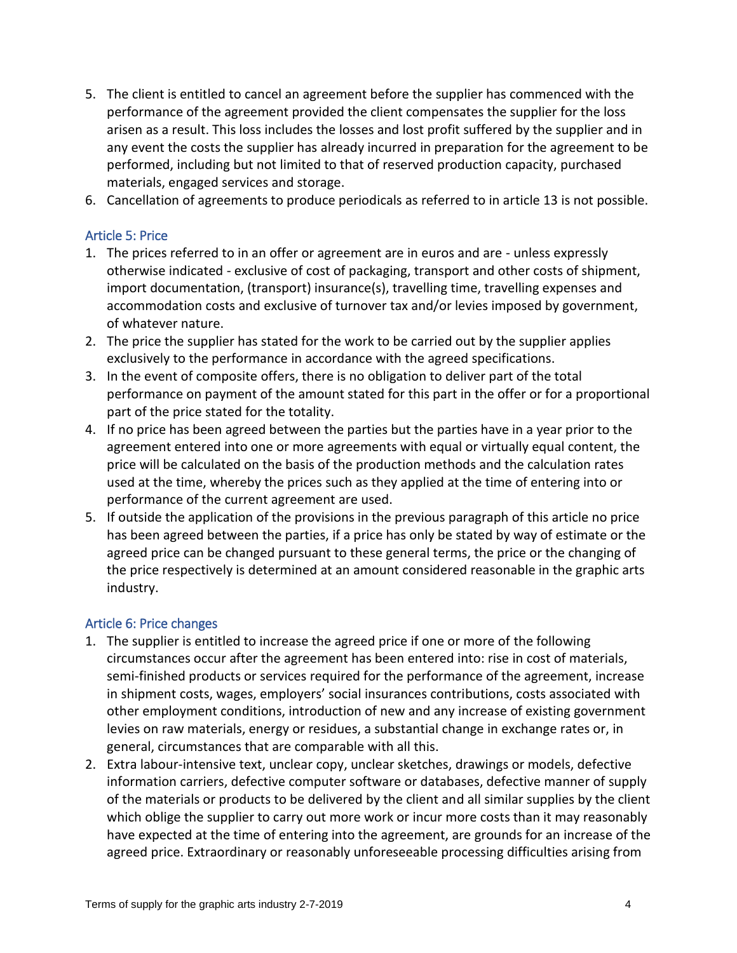- 5. The client is entitled to cancel an agreement before the supplier has commenced with the performance of the agreement provided the client compensates the supplier for the loss arisen as a result. This loss includes the losses and lost profit suffered by the supplier and in any event the costs the supplier has already incurred in preparation for the agreement to be performed, including but not limited to that of reserved production capacity, purchased materials, engaged services and storage.
- 6. Cancellation of agreements to produce periodicals as referred to in article 13 is not possible.

#### <span id="page-3-0"></span>Article 5: Price

- 1. The prices referred to in an offer or agreement are in euros and are unless expressly otherwise indicated - exclusive of cost of packaging, transport and other costs of shipment, import documentation, (transport) insurance(s), travelling time, travelling expenses and accommodation costs and exclusive of turnover tax and/or levies imposed by government, of whatever nature.
- 2. The price the supplier has stated for the work to be carried out by the supplier applies exclusively to the performance in accordance with the agreed specifications.
- 3. In the event of composite offers, there is no obligation to deliver part of the total performance on payment of the amount stated for this part in the offer or for a proportional part of the price stated for the totality.
- 4. If no price has been agreed between the parties but the parties have in a year prior to the agreement entered into one or more agreements with equal or virtually equal content, the price will be calculated on the basis of the production methods and the calculation rates used at the time, whereby the prices such as they applied at the time of entering into or performance of the current agreement are used.
- 5. If outside the application of the provisions in the previous paragraph of this article no price has been agreed between the parties, if a price has only be stated by way of estimate or the agreed price can be changed pursuant to these general terms, the price or the changing of the price respectively is determined at an amount considered reasonable in the graphic arts industry.

#### <span id="page-3-1"></span>Article 6: Price changes

- 1. The supplier is entitled to increase the agreed price if one or more of the following circumstances occur after the agreement has been entered into: rise in cost of materials, semi-finished products or services required for the performance of the agreement, increase in shipment costs, wages, employers' social insurances contributions, costs associated with other employment conditions, introduction of new and any increase of existing government levies on raw materials, energy or residues, a substantial change in exchange rates or, in general, circumstances that are comparable with all this.
- 2. Extra labour-intensive text, unclear copy, unclear sketches, drawings or models, defective information carriers, defective computer software or databases, defective manner of supply of the materials or products to be delivered by the client and all similar supplies by the client which oblige the supplier to carry out more work or incur more costs than it may reasonably have expected at the time of entering into the agreement, are grounds for an increase of the agreed price. Extraordinary or reasonably unforeseeable processing difficulties arising from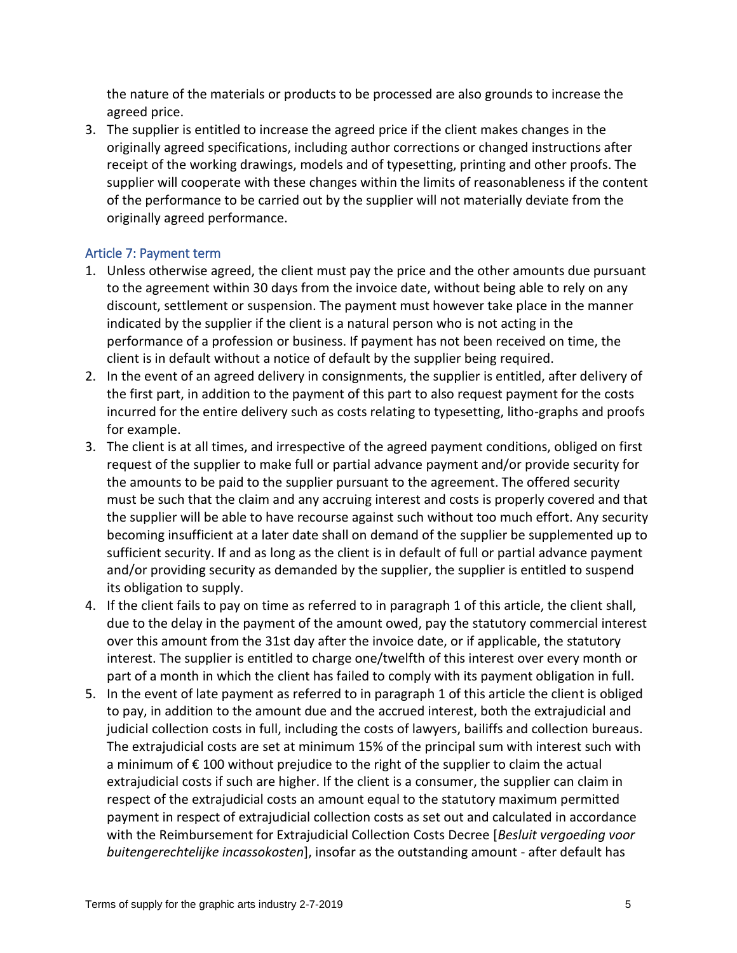the nature of the materials or products to be processed are also grounds to increase the agreed price.

3. The supplier is entitled to increase the agreed price if the client makes changes in the originally agreed specifications, including author corrections or changed instructions after receipt of the working drawings, models and of typesetting, printing and other proofs. The supplier will cooperate with these changes within the limits of reasonableness if the content of the performance to be carried out by the supplier will not materially deviate from the originally agreed performance.

#### <span id="page-4-0"></span>Article 7: Payment term

- 1. Unless otherwise agreed, the client must pay the price and the other amounts due pursuant to the agreement within 30 days from the invoice date, without being able to rely on any discount, settlement or suspension. The payment must however take place in the manner indicated by the supplier if the client is a natural person who is not acting in the performance of a profession or business. If payment has not been received on time, the client is in default without a notice of default by the supplier being required.
- 2. In the event of an agreed delivery in consignments, the supplier is entitled, after delivery of the first part, in addition to the payment of this part to also request payment for the costs incurred for the entire delivery such as costs relating to typesetting, litho-graphs and proofs for example.
- 3. The client is at all times, and irrespective of the agreed payment conditions, obliged on first request of the supplier to make full or partial advance payment and/or provide security for the amounts to be paid to the supplier pursuant to the agreement. The offered security must be such that the claim and any accruing interest and costs is properly covered and that the supplier will be able to have recourse against such without too much effort. Any security becoming insufficient at a later date shall on demand of the supplier be supplemented up to sufficient security. If and as long as the client is in default of full or partial advance payment and/or providing security as demanded by the supplier, the supplier is entitled to suspend its obligation to supply.
- 4. If the client fails to pay on time as referred to in paragraph 1 of this article, the client shall, due to the delay in the payment of the amount owed, pay the statutory commercial interest over this amount from the 31st day after the invoice date, or if applicable, the statutory interest. The supplier is entitled to charge one/twelfth of this interest over every month or part of a month in which the client has failed to comply with its payment obligation in full.
- 5. In the event of late payment as referred to in paragraph 1 of this article the client is obliged to pay, in addition to the amount due and the accrued interest, both the extrajudicial and judicial collection costs in full, including the costs of lawyers, bailiffs and collection bureaus. The extrajudicial costs are set at minimum 15% of the principal sum with interest such with a minimum of € 100 without prejudice to the right of the supplier to claim the actual extrajudicial costs if such are higher. If the client is a consumer, the supplier can claim in respect of the extrajudicial costs an amount equal to the statutory maximum permitted payment in respect of extrajudicial collection costs as set out and calculated in accordance with the Reimbursement for Extrajudicial Collection Costs Decree [*Besluit vergoeding voor buitengerechtelijke incassokosten*], insofar as the outstanding amount - after default has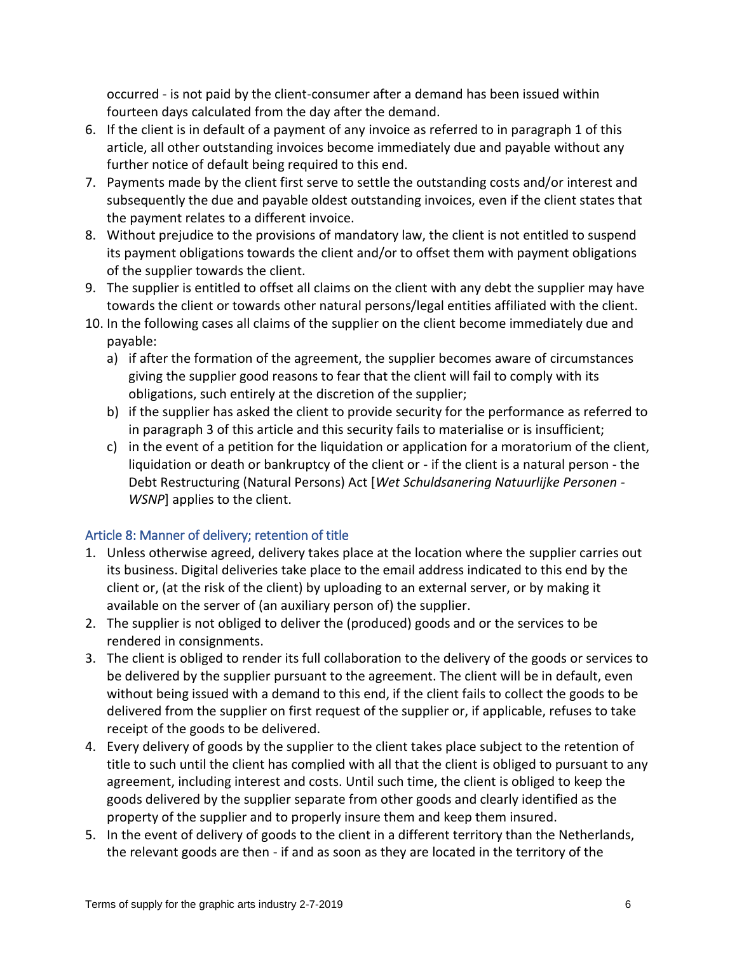occurred - is not paid by the client-consumer after a demand has been issued within fourteen days calculated from the day after the demand.

- 6. If the client is in default of a payment of any invoice as referred to in paragraph 1 of this article, all other outstanding invoices become immediately due and payable without any further notice of default being required to this end.
- 7. Payments made by the client first serve to settle the outstanding costs and/or interest and subsequently the due and payable oldest outstanding invoices, even if the client states that the payment relates to a different invoice.
- 8. Without prejudice to the provisions of mandatory law, the client is not entitled to suspend its payment obligations towards the client and/or to offset them with payment obligations of the supplier towards the client.
- 9. The supplier is entitled to offset all claims on the client with any debt the supplier may have towards the client or towards other natural persons/legal entities affiliated with the client.
- 10. In the following cases all claims of the supplier on the client become immediately due and payable:
	- a) if after the formation of the agreement, the supplier becomes aware of circumstances giving the supplier good reasons to fear that the client will fail to comply with its obligations, such entirely at the discretion of the supplier;
	- b) if the supplier has asked the client to provide security for the performance as referred to in paragraph 3 of this article and this security fails to materialise or is insufficient;
	- c) in the event of a petition for the liquidation or application for a moratorium of the client, liquidation or death or bankruptcy of the client or - if the client is a natural person - the Debt Restructuring (Natural Persons) Act [*Wet Schuldsanering Natuurlijke Personen - WSNP*] applies to the client.

# <span id="page-5-0"></span>Article 8: Manner of delivery; retention of title

- 1. Unless otherwise agreed, delivery takes place at the location where the supplier carries out its business. Digital deliveries take place to the email address indicated to this end by the client or, (at the risk of the client) by uploading to an external server, or by making it available on the server of (an auxiliary person of) the supplier.
- 2. The supplier is not obliged to deliver the (produced) goods and or the services to be rendered in consignments.
- 3. The client is obliged to render its full collaboration to the delivery of the goods or services to be delivered by the supplier pursuant to the agreement. The client will be in default, even without being issued with a demand to this end, if the client fails to collect the goods to be delivered from the supplier on first request of the supplier or, if applicable, refuses to take receipt of the goods to be delivered.
- 4. Every delivery of goods by the supplier to the client takes place subject to the retention of title to such until the client has complied with all that the client is obliged to pursuant to any agreement, including interest and costs. Until such time, the client is obliged to keep the goods delivered by the supplier separate from other goods and clearly identified as the property of the supplier and to properly insure them and keep them insured.
- 5. In the event of delivery of goods to the client in a different territory than the Netherlands, the relevant goods are then - if and as soon as they are located in the territory of the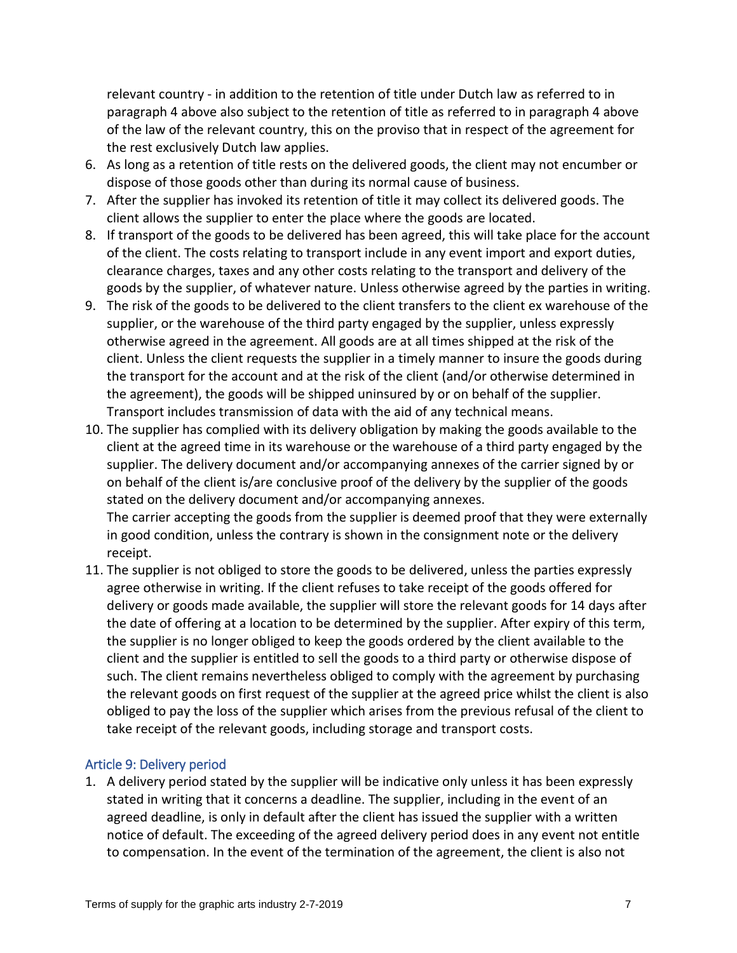relevant country - in addition to the retention of title under Dutch law as referred to in paragraph 4 above also subject to the retention of title as referred to in paragraph 4 above of the law of the relevant country, this on the proviso that in respect of the agreement for the rest exclusively Dutch law applies.

- 6. As long as a retention of title rests on the delivered goods, the client may not encumber or dispose of those goods other than during its normal cause of business.
- 7. After the supplier has invoked its retention of title it may collect its delivered goods. The client allows the supplier to enter the place where the goods are located.
- 8. If transport of the goods to be delivered has been agreed, this will take place for the account of the client. The costs relating to transport include in any event import and export duties, clearance charges, taxes and any other costs relating to the transport and delivery of the goods by the supplier, of whatever nature. Unless otherwise agreed by the parties in writing.
- 9. The risk of the goods to be delivered to the client transfers to the client ex warehouse of the supplier, or the warehouse of the third party engaged by the supplier, unless expressly otherwise agreed in the agreement. All goods are at all times shipped at the risk of the client. Unless the client requests the supplier in a timely manner to insure the goods during the transport for the account and at the risk of the client (and/or otherwise determined in the agreement), the goods will be shipped uninsured by or on behalf of the supplier. Transport includes transmission of data with the aid of any technical means.
- 10. The supplier has complied with its delivery obligation by making the goods available to the client at the agreed time in its warehouse or the warehouse of a third party engaged by the supplier. The delivery document and/or accompanying annexes of the carrier signed by or on behalf of the client is/are conclusive proof of the delivery by the supplier of the goods stated on the delivery document and/or accompanying annexes. The carrier accepting the goods from the supplier is deemed proof that they were externally in good condition, unless the contrary is shown in the consignment note or the delivery receipt.
- 11. The supplier is not obliged to store the goods to be delivered, unless the parties expressly agree otherwise in writing. If the client refuses to take receipt of the goods offered for delivery or goods made available, the supplier will store the relevant goods for 14 days after the date of offering at a location to be determined by the supplier. After expiry of this term, the supplier is no longer obliged to keep the goods ordered by the client available to the client and the supplier is entitled to sell the goods to a third party or otherwise dispose of such. The client remains nevertheless obliged to comply with the agreement by purchasing the relevant goods on first request of the supplier at the agreed price whilst the client is also obliged to pay the loss of the supplier which arises from the previous refusal of the client to take receipt of the relevant goods, including storage and transport costs.

#### <span id="page-6-0"></span>Article 9: Delivery period

1. A delivery period stated by the supplier will be indicative only unless it has been expressly stated in writing that it concerns a deadline. The supplier, including in the event of an agreed deadline, is only in default after the client has issued the supplier with a written notice of default. The exceeding of the agreed delivery period does in any event not entitle to compensation. In the event of the termination of the agreement, the client is also not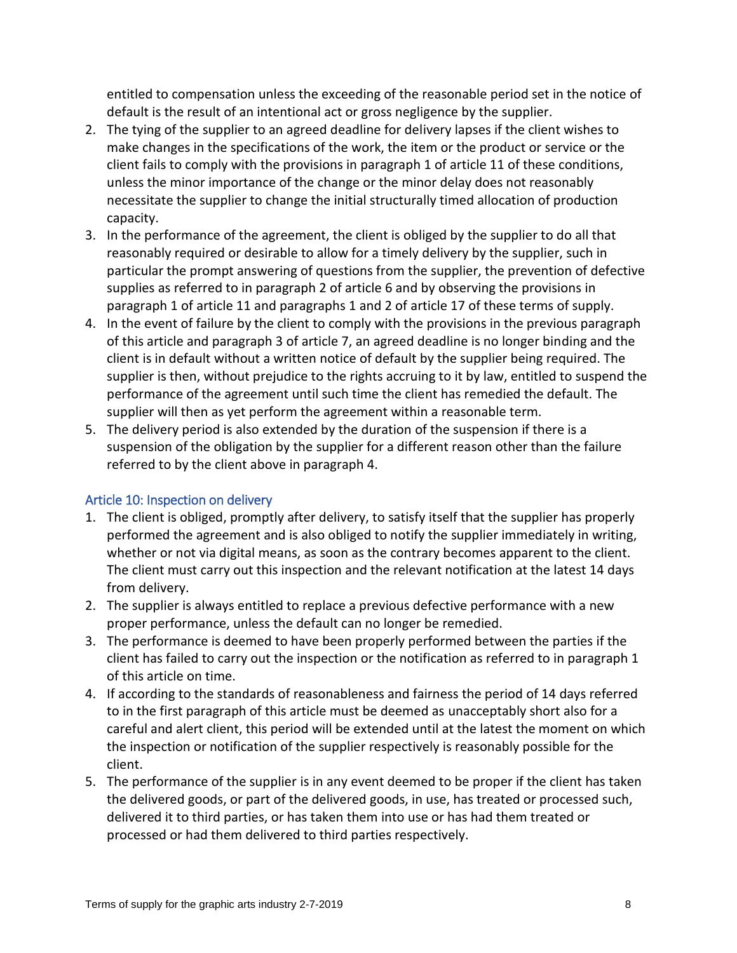entitled to compensation unless the exceeding of the reasonable period set in the notice of default is the result of an intentional act or gross negligence by the supplier.

- 2. The tying of the supplier to an agreed deadline for delivery lapses if the client wishes to make changes in the specifications of the work, the item or the product or service or the client fails to comply with the provisions in paragraph 1 of article 11 of these conditions, unless the minor importance of the change or the minor delay does not reasonably necessitate the supplier to change the initial structurally timed allocation of production capacity.
- 3. In the performance of the agreement, the client is obliged by the supplier to do all that reasonably required or desirable to allow for a timely delivery by the supplier, such in particular the prompt answering of questions from the supplier, the prevention of defective supplies as referred to in paragraph 2 of article 6 and by observing the provisions in paragraph 1 of article 11 and paragraphs 1 and 2 of article 17 of these terms of supply.
- 4. In the event of failure by the client to comply with the provisions in the previous paragraph of this article and paragraph 3 of article 7, an agreed deadline is no longer binding and the client is in default without a written notice of default by the supplier being required. The supplier is then, without prejudice to the rights accruing to it by law, entitled to suspend the performance of the agreement until such time the client has remedied the default. The supplier will then as yet perform the agreement within a reasonable term.
- 5. The delivery period is also extended by the duration of the suspension if there is a suspension of the obligation by the supplier for a different reason other than the failure referred to by the client above in paragraph 4.

#### <span id="page-7-0"></span>Article 10: Inspection on delivery

- 1. The client is obliged, promptly after delivery, to satisfy itself that the supplier has properly performed the agreement and is also obliged to notify the supplier immediately in writing, whether or not via digital means, as soon as the contrary becomes apparent to the client. The client must carry out this inspection and the relevant notification at the latest 14 days from delivery.
- 2. The supplier is always entitled to replace a previous defective performance with a new proper performance, unless the default can no longer be remedied.
- 3. The performance is deemed to have been properly performed between the parties if the client has failed to carry out the inspection or the notification as referred to in paragraph 1 of this article on time.
- 4. If according to the standards of reasonableness and fairness the period of 14 days referred to in the first paragraph of this article must be deemed as unacceptably short also for a careful and alert client, this period will be extended until at the latest the moment on which the inspection or notification of the supplier respectively is reasonably possible for the client.
- 5. The performance of the supplier is in any event deemed to be proper if the client has taken the delivered goods, or part of the delivered goods, in use, has treated or processed such, delivered it to third parties, or has taken them into use or has had them treated or processed or had them delivered to third parties respectively.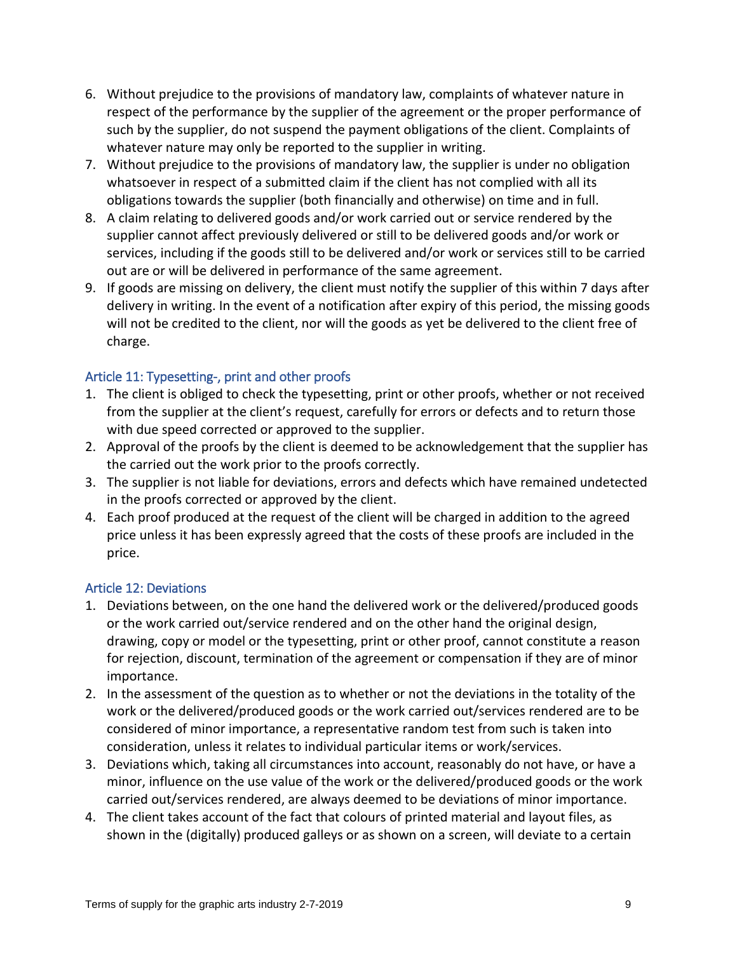- 6. Without prejudice to the provisions of mandatory law, complaints of whatever nature in respect of the performance by the supplier of the agreement or the proper performance of such by the supplier, do not suspend the payment obligations of the client. Complaints of whatever nature may only be reported to the supplier in writing.
- 7. Without prejudice to the provisions of mandatory law, the supplier is under no obligation whatsoever in respect of a submitted claim if the client has not complied with all its obligations towards the supplier (both financially and otherwise) on time and in full.
- 8. A claim relating to delivered goods and/or work carried out or service rendered by the supplier cannot affect previously delivered or still to be delivered goods and/or work or services, including if the goods still to be delivered and/or work or services still to be carried out are or will be delivered in performance of the same agreement.
- 9. If goods are missing on delivery, the client must notify the supplier of this within 7 days after delivery in writing. In the event of a notification after expiry of this period, the missing goods will not be credited to the client, nor will the goods as yet be delivered to the client free of charge.

#### <span id="page-8-0"></span>Article 11: Typesetting-, print and other proofs

- 1. The client is obliged to check the typesetting, print or other proofs, whether or not received from the supplier at the client's request, carefully for errors or defects and to return those with due speed corrected or approved to the supplier.
- 2. Approval of the proofs by the client is deemed to be acknowledgement that the supplier has the carried out the work prior to the proofs correctly.
- 3. The supplier is not liable for deviations, errors and defects which have remained undetected in the proofs corrected or approved by the client.
- 4. Each proof produced at the request of the client will be charged in addition to the agreed price unless it has been expressly agreed that the costs of these proofs are included in the price.

#### <span id="page-8-1"></span>Article 12: Deviations

- 1. Deviations between, on the one hand the delivered work or the delivered/produced goods or the work carried out/service rendered and on the other hand the original design, drawing, copy or model or the typesetting, print or other proof, cannot constitute a reason for rejection, discount, termination of the agreement or compensation if they are of minor importance.
- 2. In the assessment of the question as to whether or not the deviations in the totality of the work or the delivered/produced goods or the work carried out/services rendered are to be considered of minor importance, a representative random test from such is taken into consideration, unless it relates to individual particular items or work/services.
- 3. Deviations which, taking all circumstances into account, reasonably do not have, or have a minor, influence on the use value of the work or the delivered/produced goods or the work carried out/services rendered, are always deemed to be deviations of minor importance.
- 4. The client takes account of the fact that colours of printed material and layout files, as shown in the (digitally) produced galleys or as shown on a screen, will deviate to a certain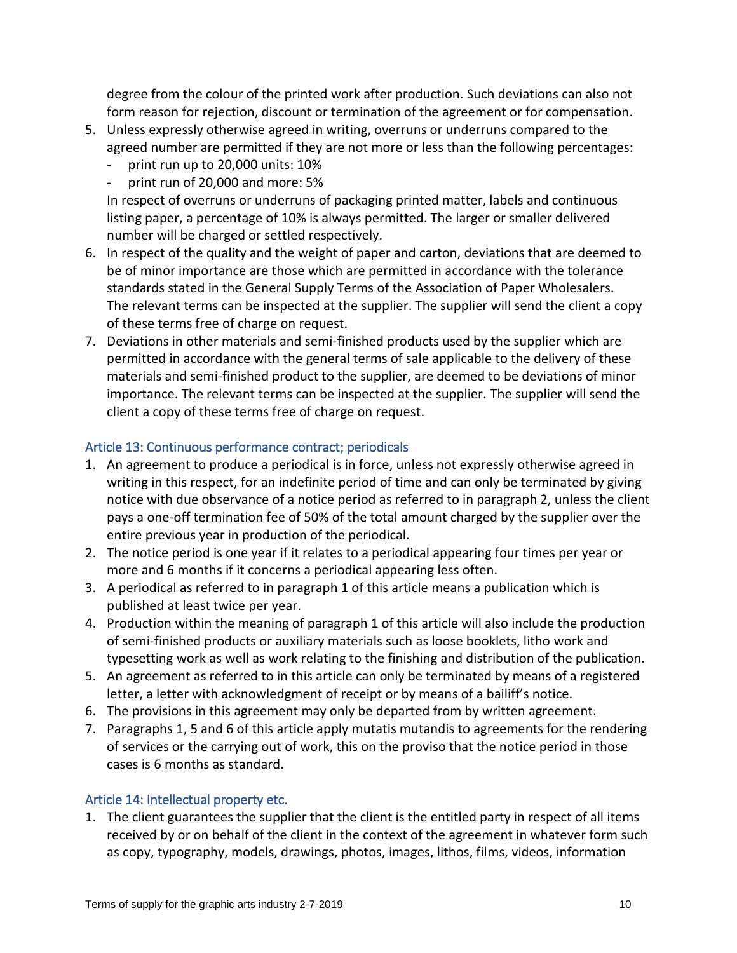degree from the colour of the printed work after production. Such deviations can also not form reason for rejection, discount or termination of the agreement or for compensation.

- 5. Unless expressly otherwise agreed in writing, overruns or underruns compared to the agreed number are permitted if they are not more or less than the following percentages:
	- print run up to 20,000 units: 10%
	- print run of 20,000 and more: 5%

In respect of overruns or underruns of packaging printed matter, labels and continuous listing paper, a percentage of 10% is always permitted. The larger or smaller delivered number will be charged or settled respectively.

- 6. In respect of the quality and the weight of paper and carton, deviations that are deemed to be of minor importance are those which are permitted in accordance with the tolerance standards stated in the General Supply Terms of the Association of Paper Wholesalers. The relevant terms can be inspected at the supplier. The supplier will send the client a copy of these terms free of charge on request.
- 7. Deviations in other materials and semi-finished products used by the supplier which are permitted in accordance with the general terms of sale applicable to the delivery of these materials and semi-finished product to the supplier, are deemed to be deviations of minor importance. The relevant terms can be inspected at the supplier. The supplier will send the client a copy of these terms free of charge on request.

# <span id="page-9-0"></span>Article 13: Continuous performance contract; periodicals

- 1. An agreement to produce a periodical is in force, unless not expressly otherwise agreed in writing in this respect, for an indefinite period of time and can only be terminated by giving notice with due observance of a notice period as referred to in paragraph 2, unless the client pays a one-off termination fee of 50% of the total amount charged by the supplier over the entire previous year in production of the periodical.
- 2. The notice period is one year if it relates to a periodical appearing four times per year or more and 6 months if it concerns a periodical appearing less often.
- 3. A periodical as referred to in paragraph 1 of this article means a publication which is published at least twice per year.
- 4. Production within the meaning of paragraph 1 of this article will also include the production of semi-finished products or auxiliary materials such as loose booklets, litho work and typesetting work as well as work relating to the finishing and distribution of the publication.
- 5. An agreement as referred to in this article can only be terminated by means of a registered letter, a letter with acknowledgment of receipt or by means of a bailiff's notice.
- 6. The provisions in this agreement may only be departed from by written agreement.
- 7. Paragraphs 1, 5 and 6 of this article apply mutatis mutandis to agreements for the rendering of services or the carrying out of work, this on the proviso that the notice period in those cases is 6 months as standard.

#### <span id="page-9-1"></span>Article 14: Intellectual property etc.

1. The client guarantees the supplier that the client is the entitled party in respect of all items received by or on behalf of the client in the context of the agreement in whatever form such as copy, typography, models, drawings, photos, images, lithos, films, videos, information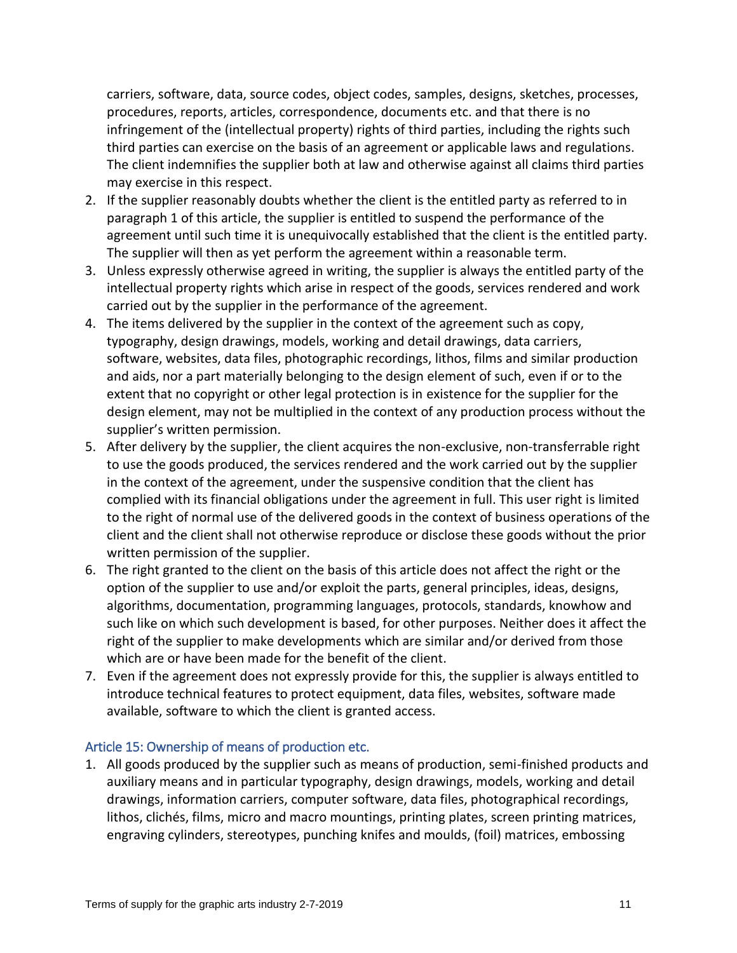carriers, software, data, source codes, object codes, samples, designs, sketches, processes, procedures, reports, articles, correspondence, documents etc. and that there is no infringement of the (intellectual property) rights of third parties, including the rights such third parties can exercise on the basis of an agreement or applicable laws and regulations. The client indemnifies the supplier both at law and otherwise against all claims third parties may exercise in this respect.

- 2. If the supplier reasonably doubts whether the client is the entitled party as referred to in paragraph 1 of this article, the supplier is entitled to suspend the performance of the agreement until such time it is unequivocally established that the client is the entitled party. The supplier will then as yet perform the agreement within a reasonable term.
- 3. Unless expressly otherwise agreed in writing, the supplier is always the entitled party of the intellectual property rights which arise in respect of the goods, services rendered and work carried out by the supplier in the performance of the agreement.
- 4. The items delivered by the supplier in the context of the agreement such as copy, typography, design drawings, models, working and detail drawings, data carriers, software, websites, data files, photographic recordings, lithos, films and similar production and aids, nor a part materially belonging to the design element of such, even if or to the extent that no copyright or other legal protection is in existence for the supplier for the design element, may not be multiplied in the context of any production process without the supplier's written permission.
- 5. After delivery by the supplier, the client acquires the non-exclusive, non-transferrable right to use the goods produced, the services rendered and the work carried out by the supplier in the context of the agreement, under the suspensive condition that the client has complied with its financial obligations under the agreement in full. This user right is limited to the right of normal use of the delivered goods in the context of business operations of the client and the client shall not otherwise reproduce or disclose these goods without the prior written permission of the supplier.
- 6. The right granted to the client on the basis of this article does not affect the right or the option of the supplier to use and/or exploit the parts, general principles, ideas, designs, algorithms, documentation, programming languages, protocols, standards, knowhow and such like on which such development is based, for other purposes. Neither does it affect the right of the supplier to make developments which are similar and/or derived from those which are or have been made for the benefit of the client.
- 7. Even if the agreement does not expressly provide for this, the supplier is always entitled to introduce technical features to protect equipment, data files, websites, software made available, software to which the client is granted access.

#### <span id="page-10-0"></span>Article 15: Ownership of means of production etc.

1. All goods produced by the supplier such as means of production, semi-finished products and auxiliary means and in particular typography, design drawings, models, working and detail drawings, information carriers, computer software, data files, photographical recordings, lithos, clichés, films, micro and macro mountings, printing plates, screen printing matrices, engraving cylinders, stereotypes, punching knifes and moulds, (foil) matrices, embossing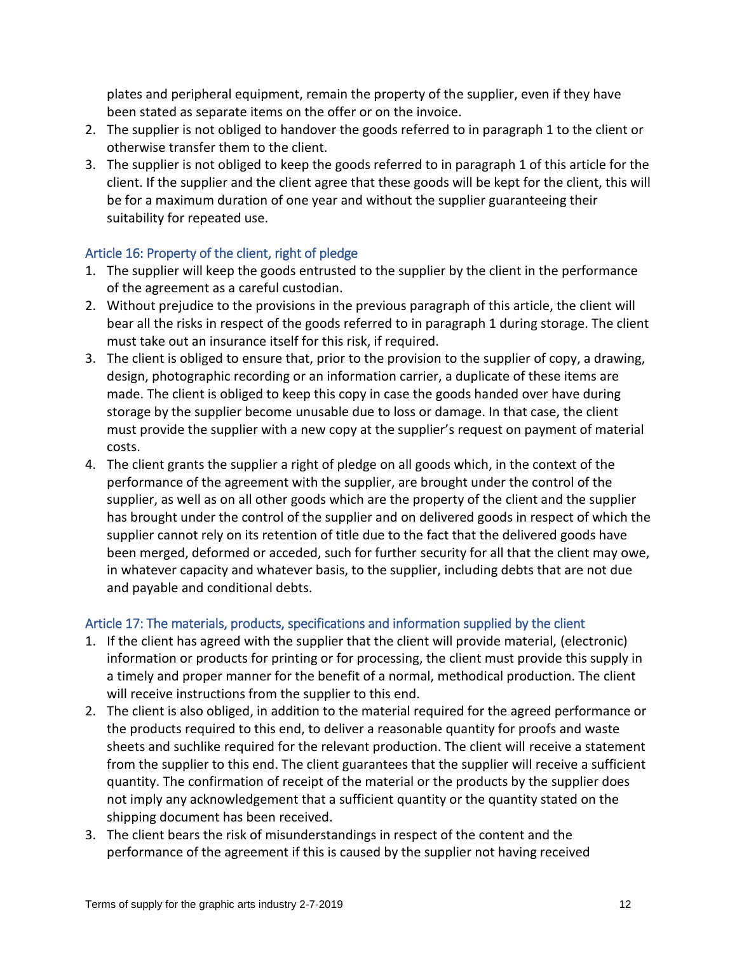plates and peripheral equipment, remain the property of the supplier, even if they have been stated as separate items on the offer or on the invoice.

- 2. The supplier is not obliged to handover the goods referred to in paragraph 1 to the client or otherwise transfer them to the client.
- 3. The supplier is not obliged to keep the goods referred to in paragraph 1 of this article for the client. If the supplier and the client agree that these goods will be kept for the client, this will be for a maximum duration of one year and without the supplier guaranteeing their suitability for repeated use.

# <span id="page-11-0"></span>Article 16: Property of the client, right of pledge

- 1. The supplier will keep the goods entrusted to the supplier by the client in the performance of the agreement as a careful custodian.
- 2. Without prejudice to the provisions in the previous paragraph of this article, the client will bear all the risks in respect of the goods referred to in paragraph 1 during storage. The client must take out an insurance itself for this risk, if required.
- 3. The client is obliged to ensure that, prior to the provision to the supplier of copy, a drawing, design, photographic recording or an information carrier, a duplicate of these items are made. The client is obliged to keep this copy in case the goods handed over have during storage by the supplier become unusable due to loss or damage. In that case, the client must provide the supplier with a new copy at the supplier's request on payment of material costs.
- 4. The client grants the supplier a right of pledge on all goods which, in the context of the performance of the agreement with the supplier, are brought under the control of the supplier, as well as on all other goods which are the property of the client and the supplier has brought under the control of the supplier and on delivered goods in respect of which the supplier cannot rely on its retention of title due to the fact that the delivered goods have been merged, deformed or acceded, such for further security for all that the client may owe, in whatever capacity and whatever basis, to the supplier, including debts that are not due and payable and conditional debts.

#### <span id="page-11-1"></span>Article 17: The materials, products, specifications and information supplied by the client

- 1. If the client has agreed with the supplier that the client will provide material, (electronic) information or products for printing or for processing, the client must provide this supply in a timely and proper manner for the benefit of a normal, methodical production. The client will receive instructions from the supplier to this end.
- 2. The client is also obliged, in addition to the material required for the agreed performance or the products required to this end, to deliver a reasonable quantity for proofs and waste sheets and suchlike required for the relevant production. The client will receive a statement from the supplier to this end. The client guarantees that the supplier will receive a sufficient quantity. The confirmation of receipt of the material or the products by the supplier does not imply any acknowledgement that a sufficient quantity or the quantity stated on the shipping document has been received.
- 3. The client bears the risk of misunderstandings in respect of the content and the performance of the agreement if this is caused by the supplier not having received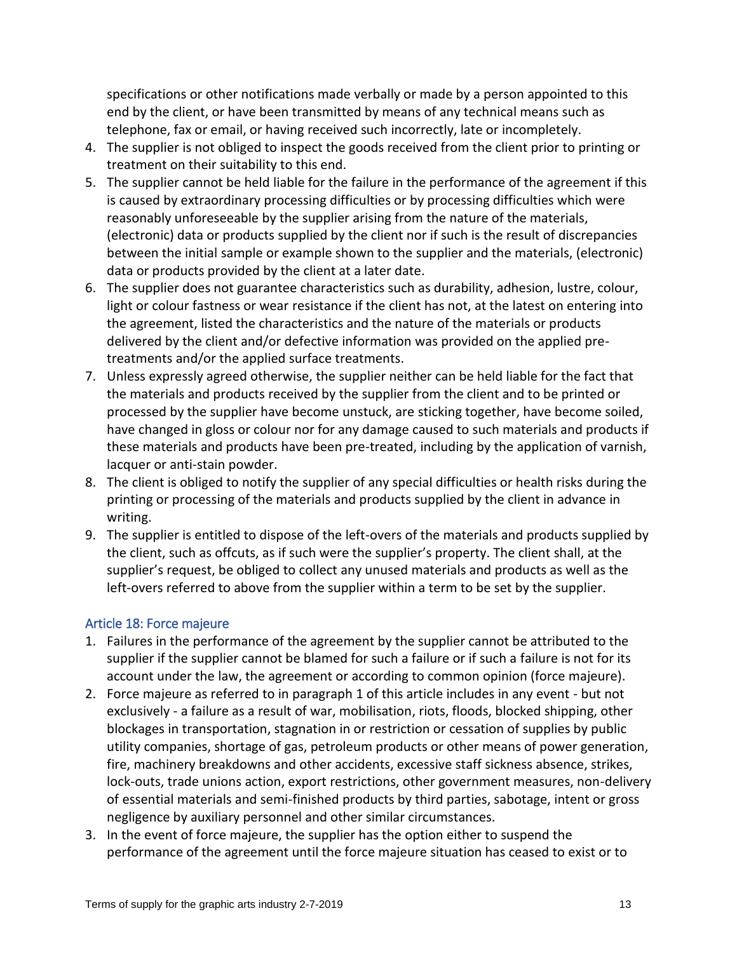specifications or other notifications made verbally or made by a person appointed to this end by the client, or have been transmitted by means of any technical means such as telephone, fax or email, or having received such incorrectly, late or incompletely.

- 4. The supplier is not obliged to inspect the goods received from the client prior to printing or treatment on their suitability to this end.
- 5. The supplier cannot be held liable for the failure in the performance of the agreement if this is caused by extraordinary processing difficulties or by processing difficulties which were reasonably unforeseeable by the supplier arising from the nature of the materials, (electronic) data or products supplied by the client nor if such is the result of discrepancies between the initial sample or example shown to the supplier and the materials, (electronic) data or products provided by the client at a later date.
- 6. The supplier does not guarantee characteristics such as durability, adhesion, lustre, colour, light or colour fastness or wear resistance if the client has not, at the latest on entering into the agreement, listed the characteristics and the nature of the materials or products delivered by the client and/or defective information was provided on the applied pretreatments and/or the applied surface treatments.
- 7. Unless expressly agreed otherwise, the supplier neither can be held liable for the fact that the materials and products received by the supplier from the client and to be printed or processed by the supplier have become unstuck, are sticking together, have become soiled, have changed in gloss or colour nor for any damage caused to such materials and products if these materials and products have been pre-treated, including by the application of varnish, lacquer or anti-stain powder.
- 8. The client is obliged to notify the supplier of any special difficulties or health risks during the printing or processing of the materials and products supplied by the client in advance in writing.
- 9. The supplier is entitled to dispose of the left-overs of the materials and products supplied by the client, such as offcuts, as if such were the supplier's property. The client shall, at the supplier's request, be obliged to collect any unused materials and products as well as the left-overs referred to above from the supplier within a term to be set by the supplier.

#### <span id="page-12-0"></span>Article 18: Force majeure

- 1. Failures in the performance of the agreement by the supplier cannot be attributed to the supplier if the supplier cannot be blamed for such a failure or if such a failure is not for its account under the law, the agreement or according to common opinion (force majeure).
- 2. Force majeure as referred to in paragraph 1 of this article includes in any event but not exclusively - a failure as a result of war, mobilisation, riots, floods, blocked shipping, other blockages in transportation, stagnation in or restriction or cessation of supplies by public utility companies, shortage of gas, petroleum products or other means of power generation, fire, machinery breakdowns and other accidents, excessive staff sickness absence, strikes, lock-outs, trade unions action, export restrictions, other government measures, non-delivery of essential materials and semi-finished products by third parties, sabotage, intent or gross negligence by auxiliary personnel and other similar circumstances.
- 3. In the event of force majeure, the supplier has the option either to suspend the performance of the agreement until the force majeure situation has ceased to exist or to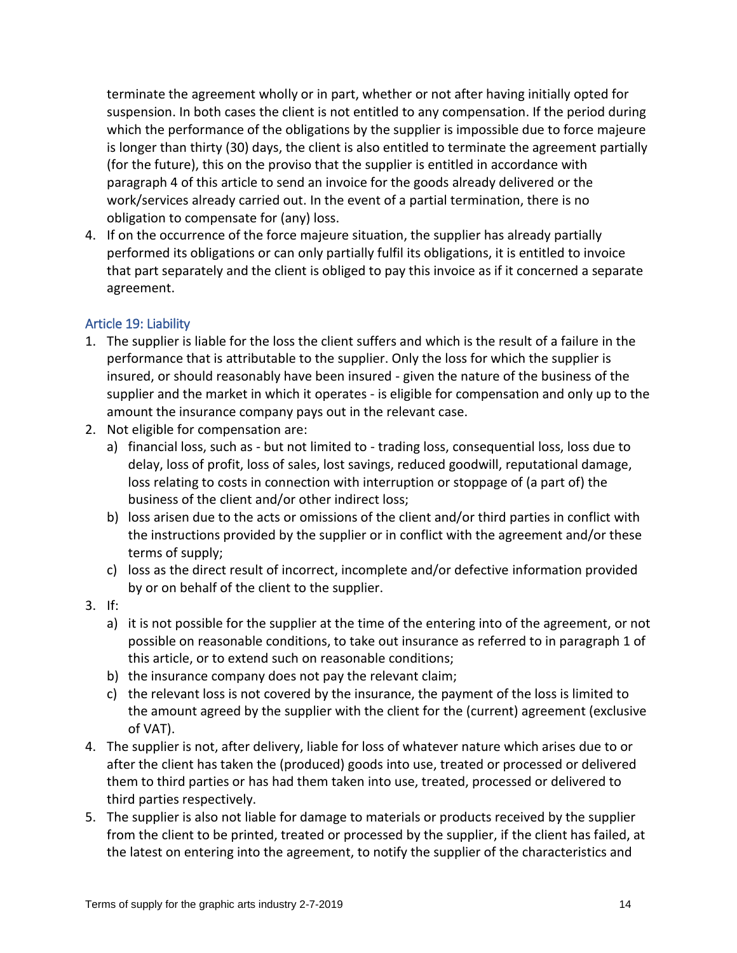terminate the agreement wholly or in part, whether or not after having initially opted for suspension. In both cases the client is not entitled to any compensation. If the period during which the performance of the obligations by the supplier is impossible due to force majeure is longer than thirty (30) days, the client is also entitled to terminate the agreement partially (for the future), this on the proviso that the supplier is entitled in accordance with paragraph 4 of this article to send an invoice for the goods already delivered or the work/services already carried out. In the event of a partial termination, there is no obligation to compensate for (any) loss.

4. If on the occurrence of the force majeure situation, the supplier has already partially performed its obligations or can only partially fulfil its obligations, it is entitled to invoice that part separately and the client is obliged to pay this invoice as if it concerned a separate agreement.

#### <span id="page-13-0"></span>Article 19: Liability

- 1. The supplier is liable for the loss the client suffers and which is the result of a failure in the performance that is attributable to the supplier. Only the loss for which the supplier is insured, or should reasonably have been insured - given the nature of the business of the supplier and the market in which it operates - is eligible for compensation and only up to the amount the insurance company pays out in the relevant case.
- 2. Not eligible for compensation are:
	- a) financial loss, such as but not limited to trading loss, consequential loss, loss due to delay, loss of profit, loss of sales, lost savings, reduced goodwill, reputational damage, loss relating to costs in connection with interruption or stoppage of (a part of) the business of the client and/or other indirect loss;
	- b) loss arisen due to the acts or omissions of the client and/or third parties in conflict with the instructions provided by the supplier or in conflict with the agreement and/or these terms of supply;
	- c) loss as the direct result of incorrect, incomplete and/or defective information provided by or on behalf of the client to the supplier.
- 3. If:
	- a) it is not possible for the supplier at the time of the entering into of the agreement, or not possible on reasonable conditions, to take out insurance as referred to in paragraph 1 of this article, or to extend such on reasonable conditions;
	- b) the insurance company does not pay the relevant claim;
	- c) the relevant loss is not covered by the insurance, the payment of the loss is limited to the amount agreed by the supplier with the client for the (current) agreement (exclusive of VAT).
- 4. The supplier is not, after delivery, liable for loss of whatever nature which arises due to or after the client has taken the (produced) goods into use, treated or processed or delivered them to third parties or has had them taken into use, treated, processed or delivered to third parties respectively.
- 5. The supplier is also not liable for damage to materials or products received by the supplier from the client to be printed, treated or processed by the supplier, if the client has failed, at the latest on entering into the agreement, to notify the supplier of the characteristics and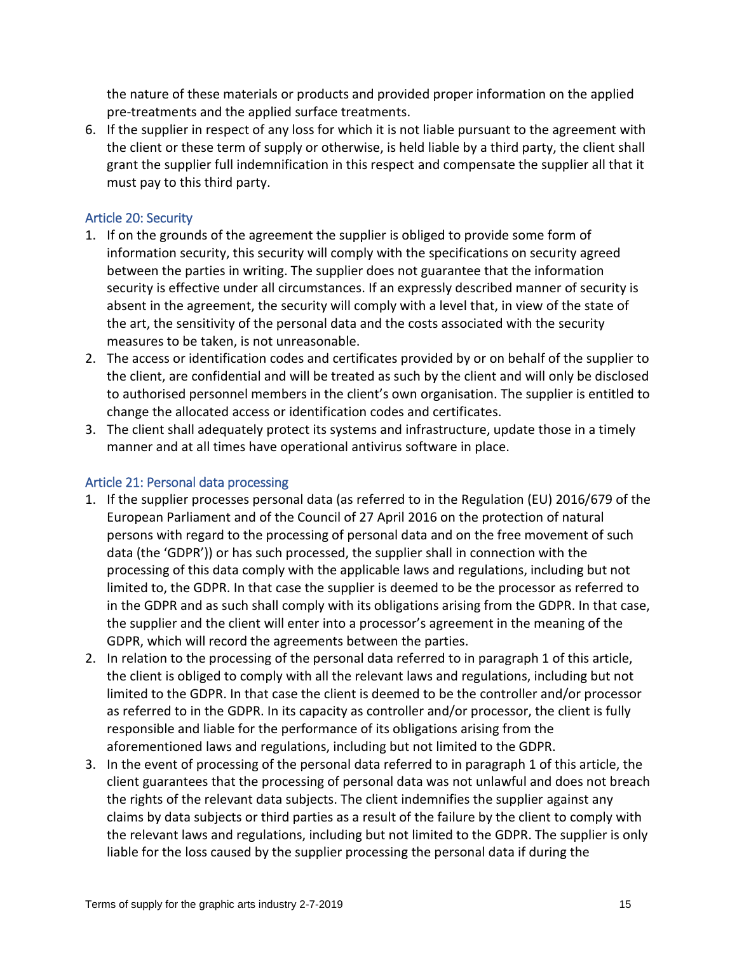the nature of these materials or products and provided proper information on the applied pre-treatments and the applied surface treatments.

6. If the supplier in respect of any loss for which it is not liable pursuant to the agreement with the client or these term of supply or otherwise, is held liable by a third party, the client shall grant the supplier full indemnification in this respect and compensate the supplier all that it must pay to this third party.

# <span id="page-14-0"></span>Article 20: Security

- 1. If on the grounds of the agreement the supplier is obliged to provide some form of information security, this security will comply with the specifications on security agreed between the parties in writing. The supplier does not guarantee that the information security is effective under all circumstances. If an expressly described manner of security is absent in the agreement, the security will comply with a level that, in view of the state of the art, the sensitivity of the personal data and the costs associated with the security measures to be taken, is not unreasonable.
- 2. The access or identification codes and certificates provided by or on behalf of the supplier to the client, are confidential and will be treated as such by the client and will only be disclosed to authorised personnel members in the client's own organisation. The supplier is entitled to change the allocated access or identification codes and certificates.
- 3. The client shall adequately protect its systems and infrastructure, update those in a timely manner and at all times have operational antivirus software in place.

#### <span id="page-14-1"></span>Article 21: Personal data processing

- 1. If the supplier processes personal data (as referred to in the Regulation (EU) 2016/679 of the European Parliament and of the Council of 27 April 2016 on the protection of natural persons with regard to the processing of personal data and on the free movement of such data (the 'GDPR')) or has such processed, the supplier shall in connection with the processing of this data comply with the applicable laws and regulations, including but not limited to, the GDPR. In that case the supplier is deemed to be the processor as referred to in the GDPR and as such shall comply with its obligations arising from the GDPR. In that case, the supplier and the client will enter into a processor's agreement in the meaning of the GDPR, which will record the agreements between the parties.
- 2. In relation to the processing of the personal data referred to in paragraph 1 of this article, the client is obliged to comply with all the relevant laws and regulations, including but not limited to the GDPR. In that case the client is deemed to be the controller and/or processor as referred to in the GDPR. In its capacity as controller and/or processor, the client is fully responsible and liable for the performance of its obligations arising from the aforementioned laws and regulations, including but not limited to the GDPR.
- 3. In the event of processing of the personal data referred to in paragraph 1 of this article, the client guarantees that the processing of personal data was not unlawful and does not breach the rights of the relevant data subjects. The client indemnifies the supplier against any claims by data subjects or third parties as a result of the failure by the client to comply with the relevant laws and regulations, including but not limited to the GDPR. The supplier is only liable for the loss caused by the supplier processing the personal data if during the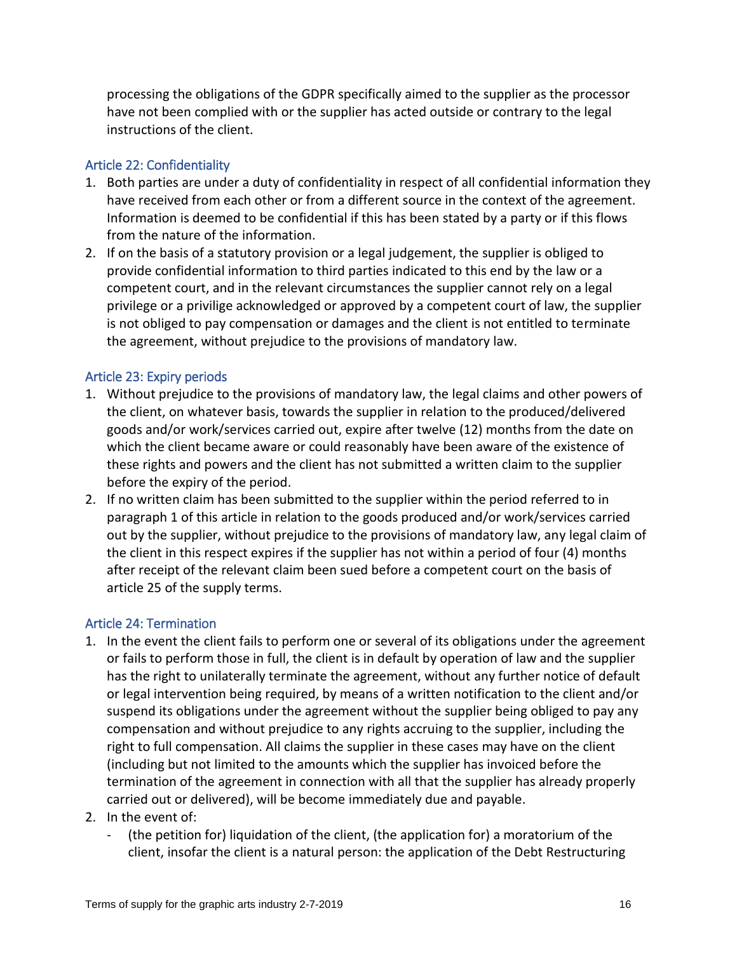processing the obligations of the GDPR specifically aimed to the supplier as the processor have not been complied with or the supplier has acted outside or contrary to the legal instructions of the client.

# <span id="page-15-0"></span>Article 22: Confidentiality

- 1. Both parties are under a duty of confidentiality in respect of all confidential information they have received from each other or from a different source in the context of the agreement. Information is deemed to be confidential if this has been stated by a party or if this flows from the nature of the information.
- 2. If on the basis of a statutory provision or a legal judgement, the supplier is obliged to provide confidential information to third parties indicated to this end by the law or a competent court, and in the relevant circumstances the supplier cannot rely on a legal privilege or a privilige acknowledged or approved by a competent court of law, the supplier is not obliged to pay compensation or damages and the client is not entitled to terminate the agreement, without prejudice to the provisions of mandatory law.

# <span id="page-15-1"></span>Article 23: Expiry periods

- 1. Without prejudice to the provisions of mandatory law, the legal claims and other powers of the client, on whatever basis, towards the supplier in relation to the produced/delivered goods and/or work/services carried out, expire after twelve (12) months from the date on which the client became aware or could reasonably have been aware of the existence of these rights and powers and the client has not submitted a written claim to the supplier before the expiry of the period.
- 2. If no written claim has been submitted to the supplier within the period referred to in paragraph 1 of this article in relation to the goods produced and/or work/services carried out by the supplier, without prejudice to the provisions of mandatory law, any legal claim of the client in this respect expires if the supplier has not within a period of four (4) months after receipt of the relevant claim been sued before a competent court on the basis of article 25 of the supply terms.

#### <span id="page-15-2"></span>Article 24: Termination

- 1. In the event the client fails to perform one or several of its obligations under the agreement or fails to perform those in full, the client is in default by operation of law and the supplier has the right to unilaterally terminate the agreement, without any further notice of default or legal intervention being required, by means of a written notification to the client and/or suspend its obligations under the agreement without the supplier being obliged to pay any compensation and without prejudice to any rights accruing to the supplier, including the right to full compensation. All claims the supplier in these cases may have on the client (including but not limited to the amounts which the supplier has invoiced before the termination of the agreement in connection with all that the supplier has already properly carried out or delivered), will be become immediately due and payable.
- 2. In the event of:
	- (the petition for) liquidation of the client, (the application for) a moratorium of the client, insofar the client is a natural person: the application of the Debt Restructuring